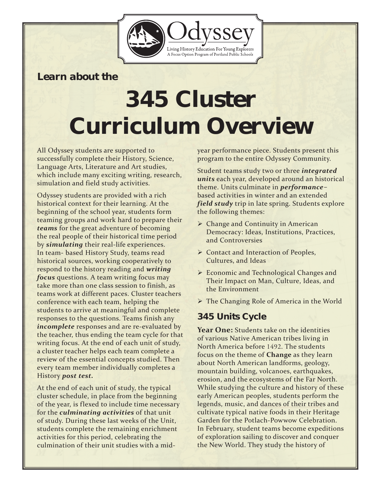

## *Learn about the*

# *345 Cluster Curriculum Overview*

All Odyssey students are supported to successfully complete their History, Science, Language Arts, Literature and Art studies, which include many exciting writing, research, simulation and field study activities.

Odyssey students are provided with a rich historical context for their learning. At the beginning of the school year, students form teaming groups and work hard to prepare their *teams* for the great adventure of becoming the real people of their historical time period by *simulating* their real-life experiences. In team- based History Study, teams read historical sources, working cooperatively to respond to the history reading and *writing focus* questions. A team writing focus may take more than one class session to finish, as teams work at different paces. Cluster teachers conference with each team, helping the students to arrive at meaningful and complete responses to the questions. Teams finish any *incomplete* responses and are re-evaluated by the teacher, thus ending the team cycle for that writing focus. At the end of each unit of study, a cluster teacher helps each team complete a review of the essential concepts studied. Then every team member individually completes a History *post test.*

At the end of each unit of study, the typical cluster schedule, in place from the beginning of the year, is flexed to include time necessary for the *culminating activities* of that unit of study. During these last weeks of the Unit, students complete the remaining enrichment activities for this period, celebrating the culmination of their unit studies with a midyear performance piece. Students present this program to the entire Odyssey Community.

Student teams study two or three *integrated units* each year, developed around an historical theme. Units culminate in *performance*based activities in winter and an extended *field study* trip in late spring. Students explore the following themes:

- ▶ Change and Continuity in American Democracy: Ideas, Institutions, Practices, and Controversies
- ▶ Contact and Interaction of Peoples, Cultures, and Ideas
- Economic and Technological Changes and Their Impact on Man, Culture, Ideas, and the Environment
- The Changing Role of America in the World

## *345 Units Cycle*

**Year One:** Students take on the identities of various Native American tribes living in North America before 1492. The students focus on the theme of **Change** as they learn about North American landforms, geology, mountain building, volcanoes, earthquakes, erosion, and the ecosystems of the Far North. While studying the culture and history of these early American peoples, students perform the legends, music, and dances of their tribes and cultivate typical native foods in their Heritage Garden for the Potlach-Powwow Celebration. In February, student teams become expeditions of exploration sailing to discover and conquer the New World. They study the history of